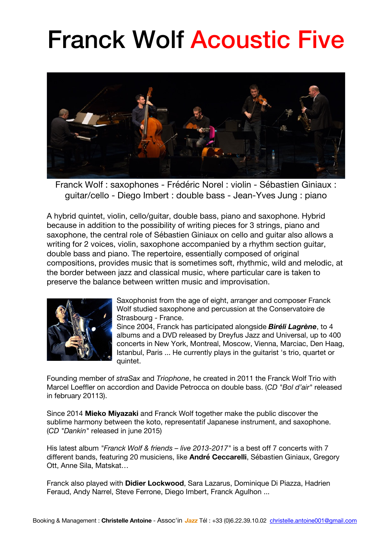## Franck Wolf Acoustic Five



Franck Wolf : saxophones - Frédéric Norel : violin - Sébastien Giniaux : guitar/cello - Diego Imbert : double bass - Jean-Yves Jung : piano

A hybrid quintet, violin, cello/guitar, double bass, piano and saxophone. Hybrid because in addition to the possibility of writing pieces for 3 strings, piano and saxophone, the central role of Sébastien Giniaux on cello and guitar also allows a writing for 2 voices, violin, saxophone accompanied by a rhythm section guitar, double bass and piano. The repertoire, essentially composed of original compositions, provides music that is sometimes soft, rhythmic, wild and melodic, at the border between jazz and classical music, where particular care is taken to preserve the balance between written music and improvisation.



Saxophonist from the age of eight, arranger and composer Franck Wolf studied saxophone and percussion at the Conservatoire de Strasbourg - France.

Since 2004, Franck has participated alongside *Biréli Lagrène*, to 4 albums and a DVD released by Dreyfus Jazz and Universal, up to 400 concerts in New York, Montreal, Moscow, Vienna, Marciac, Den Haag, Istanbul, Paris ... He currently plays in the guitarist 's trio, quartet or quintet.

Founding member of *straSax* and *Triophone*, he created in 2011 the Franck Wolf Trio with Marcel Loeffler on accordion and Davide Petrocca on double bass. (*CD "Bol d'air"* released in february 20113).

Since 2014 **Mieko Miyazaki** and Franck Wolf together make the public discover the sublime harmony between the koto, representatif Japanese instrument, and saxophone. (*CD "Dankin"* released in june 2015)

His latest album *"Franck Wolf & friends – live 2013-2017"* is a best off 7 concerts with 7 different bands, featuring 20 musiciens, like **André Ceccarelli**, Sébastien Giniaux, Gregory Ott, Anne Sila, Matskat…

Franck also played with **Didier Lockwood**, Sara Lazarus, Dominique Di Piazza, Hadrien Feraud, Andy Narrel, Steve Ferrone, Diego Imbert, Franck Agulhon ...